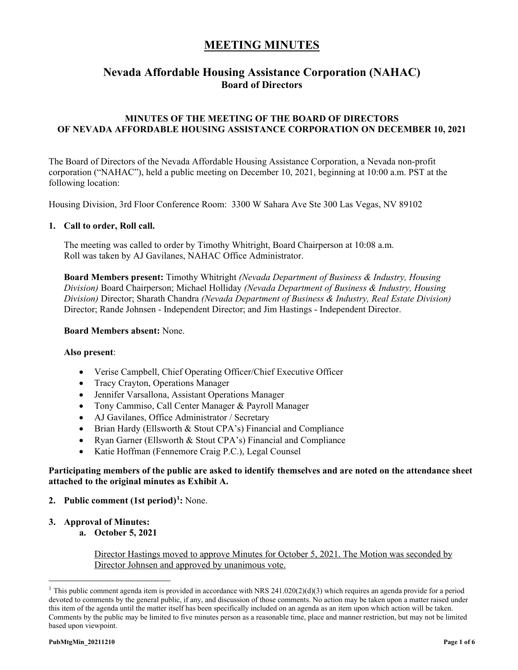## **Nevada Affordable Housing Assistance Corporation (NAHAC) Board of Directors**

### **MINUTES OF THE MEETING OF THE BOARD OF DIRECTORS OF NEVADA AFFORDABLE HOUSING ASSISTANCE CORPORATION ON DECEMBER 10, 2021**

The Board of Directors of the Nevada Affordable Housing Assistance Corporation, a Nevada non-profit corporation ("NAHAC"), held a public meeting on December 10, 2021, beginning at 10:00 a.m. PST at the following location:

Housing Division, 3rd Floor Conference Room: 3300 W Sahara Ave Ste 300 Las Vegas, NV 89102

#### **1. Call to order, Roll call.**

The meeting was called to order by Timothy Whitright, Board Chairperson at 10:08 a.m. Roll was taken by AJ Gavilanes, NAHAC Office Administrator.

**Board Members present:** Timothy Whitright *(Nevada Department of Business & Industry, Housing Division)* Board Chairperson; Michael Holliday *(Nevada Department of Business & Industry, Housing Division)* Director; Sharath Chandra *(Nevada Department of Business & Industry, Real Estate Division)* Director; Rande Johnsen - Independent Director; and Jim Hastings - Independent Director.

#### **Board Members absent:** None.

#### **Also present**:

- Verise Campbell, Chief Operating Officer/Chief Executive Officer
- Tracy Crayton, Operations Manager
- Jennifer Varsallona, Assistant Operations Manager
- Tony Cammiso, Call Center Manager & Payroll Manager
- AJ Gavilanes, Office Administrator / Secretary
- Brian Hardy (Ellsworth & Stout CPA's) Financial and Compliance
- Ryan Garner (Ellsworth & Stout CPA's) Financial and Compliance
- Katie Hoffman (Fennemore Craig P.C.), Legal Counsel

#### **Participating members of the public are asked to identify themselves and are noted on the attendance sheet attached to the original minutes as Exhibit A.**

- **2. Public comment (1st period)[1](#page-0-0) :** None.
- **3. Approval of Minutes:**
	- **a. October 5, 2021**

Director Hastings moved to approve Minutes for October 5, 2021. The Motion was seconded by Director Johnsen and approved by unanimous vote.

<span id="page-0-0"></span><sup>&</sup>lt;sup>1</sup> This public comment agenda item is provided in accordance with NRS 241.020(2)(d)(3) which requires an agenda provide for a period devoted to comments by the general public, if any, and discussion of those comments. No action may be taken upon a matter raised under this item of the agenda until the matter itself has been specifically included on an agenda as an item upon which action will be taken. Comments by the public may be limited to five minutes person as a reasonable time, place and manner restriction, but may not be limited based upon viewpoint.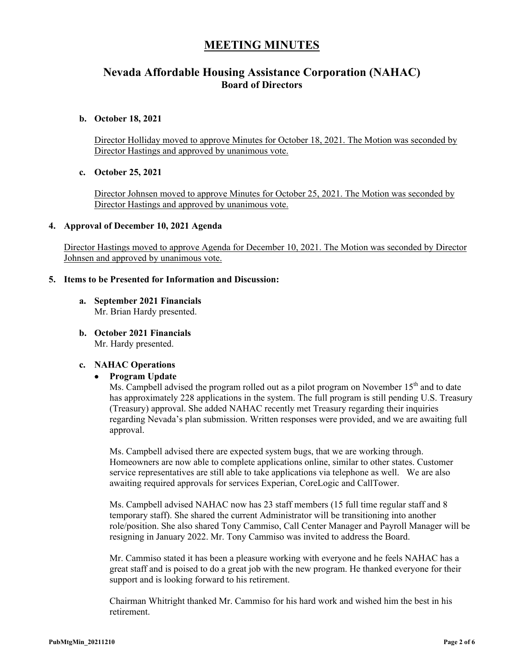### **Nevada Affordable Housing Assistance Corporation (NAHAC) Board of Directors**

#### **b. October 18, 2021**

Director Holliday moved to approve Minutes for October 18, 2021. The Motion was seconded by Director Hastings and approved by unanimous vote.

#### **c. October 25, 2021**

Director Johnsen moved to approve Minutes for October 25, 2021. The Motion was seconded by Director Hastings and approved by unanimous vote.

#### **4. Approval of December 10, 2021 Agenda**

Director Hastings moved to approve Agenda for December 10, 2021. The Motion was seconded by Director Johnsen and approved by unanimous vote.

#### **5. Items to be Presented for Information and Discussion:**

- **a. September 2021 Financials** Mr. Brian Hardy presented.
- **b. October 2021 Financials**

Mr. Hardy presented.

### **c. NAHAC Operations**

• **Program Update**

Ms. Campbell advised the program rolled out as a pilot program on November  $15<sup>th</sup>$  and to date has approximately 228 applications in the system. The full program is still pending U.S. Treasury (Treasury) approval. She added NAHAC recently met Treasury regarding their inquiries regarding Nevada's plan submission. Written responses were provided, and we are awaiting full approval.

Ms. Campbell advised there are expected system bugs, that we are working through. Homeowners are now able to complete applications online, similar to other states. Customer service representatives are still able to take applications via telephone as well. We are also awaiting required approvals for services Experian, CoreLogic and CallTower.

Ms. Campbell advised NAHAC now has 23 staff members (15 full time regular staff and 8 temporary staff). She shared the current Administrator will be transitioning into another role/position. She also shared Tony Cammiso, Call Center Manager and Payroll Manager will be resigning in January 2022. Mr. Tony Cammiso was invited to address the Board.

Mr. Cammiso stated it has been a pleasure working with everyone and he feels NAHAC has a great staff and is poised to do a great job with the new program. He thanked everyone for their support and is looking forward to his retirement.

Chairman Whitright thanked Mr. Cammiso for his hard work and wished him the best in his retirement.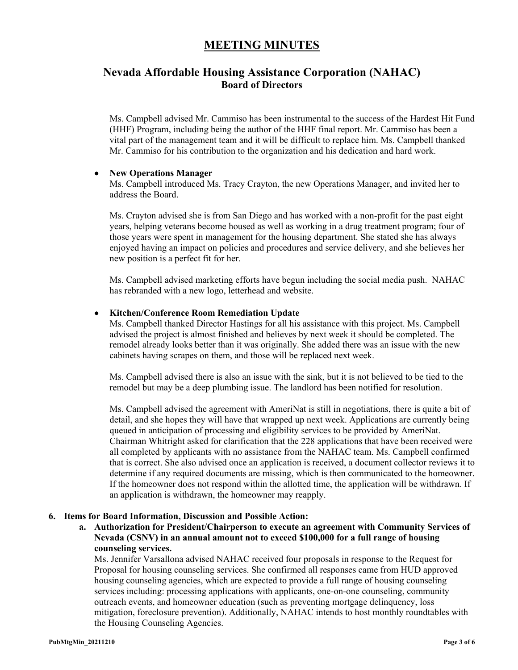## **Nevada Affordable Housing Assistance Corporation (NAHAC) Board of Directors**

Ms. Campbell advised Mr. Cammiso has been instrumental to the success of the Hardest Hit Fund (HHF) Program, including being the author of the HHF final report. Mr. Cammiso has been a vital part of the management team and it will be difficult to replace him. Ms. Campbell thanked Mr. Cammiso for his contribution to the organization and his dedication and hard work.

#### • **New Operations Manager**

Ms. Campbell introduced Ms. Tracy Crayton, the new Operations Manager, and invited her to address the Board.

Ms. Crayton advised she is from San Diego and has worked with a non-profit for the past eight years, helping veterans become housed as well as working in a drug treatment program; four of those years were spent in management for the housing department. She stated she has always enjoyed having an impact on policies and procedures and service delivery, and she believes her new position is a perfect fit for her.

Ms. Campbell advised marketing efforts have begun including the social media push. NAHAC has rebranded with a new logo, letterhead and website.

#### • **Kitchen/Conference Room Remediation Update**

Ms. Campbell thanked Director Hastings for all his assistance with this project. Ms. Campbell advised the project is almost finished and believes by next week it should be completed. The remodel already looks better than it was originally. She added there was an issue with the new cabinets having scrapes on them, and those will be replaced next week.

Ms. Campbell advised there is also an issue with the sink, but it is not believed to be tied to the remodel but may be a deep plumbing issue. The landlord has been notified for resolution.

Ms. Campbell advised the agreement with AmeriNat is still in negotiations, there is quite a bit of detail, and she hopes they will have that wrapped up next week. Applications are currently being queued in anticipation of processing and eligibility services to be provided by AmeriNat. Chairman Whitright asked for clarification that the 228 applications that have been received were all completed by applicants with no assistance from the NAHAC team. Ms. Campbell confirmed that is correct. She also advised once an application is received, a document collector reviews it to determine if any required documents are missing, which is then communicated to the homeowner. If the homeowner does not respond within the allotted time, the application will be withdrawn. If an application is withdrawn, the homeowner may reapply.

#### **6. Items for Board Information, Discussion and Possible Action:**

**a. Authorization for President/Chairperson to execute an agreement with Community Services of Nevada (CSNV) in an annual amount not to exceed \$100,000 for a full range of housing counseling services.**

Ms. Jennifer Varsallona advised NAHAC received four proposals in response to the Request for Proposal for housing counseling services. She confirmed all responses came from HUD approved housing counseling agencies, which are expected to provide a full range of housing counseling services including: processing applications with applicants, one-on-one counseling, community outreach events, and homeowner education (such as preventing mortgage delinquency, loss mitigation, foreclosure prevention). Additionally, NAHAC intends to host monthly roundtables with the Housing Counseling Agencies.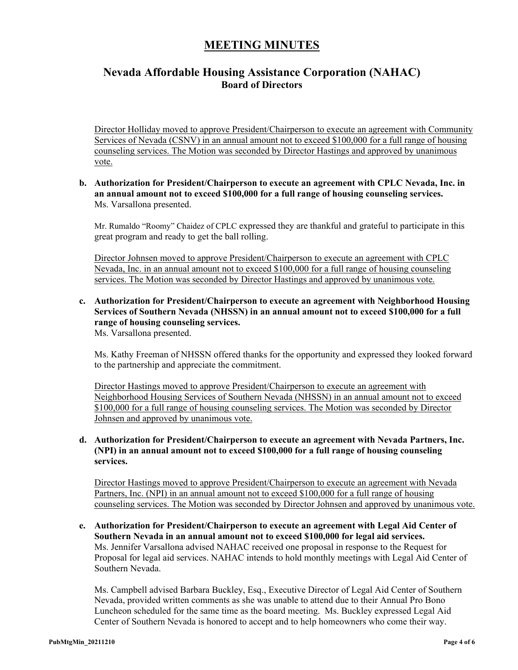## **Nevada Affordable Housing Assistance Corporation (NAHAC) Board of Directors**

Director Holliday moved to approve President/Chairperson to execute an agreement with Community Services of Nevada (CSNV) in an annual amount not to exceed \$100,000 for a full range of housing counseling services. The Motion was seconded by Director Hastings and approved by unanimous vote.

#### **b. Authorization for President/Chairperson to execute an agreement with CPLC Nevada, Inc. in an annual amount not to exceed \$100,000 for a full range of housing counseling services.** Ms. Varsallona presented.

Mr. Rumaldo "Roomy" Chaidez of CPLC expressed they are thankful and grateful to participate in this great program and ready to get the ball rolling.

Director Johnsen moved to approve President/Chairperson to execute an agreement with CPLC Nevada, Inc. in an annual amount not to exceed \$100,000 for a full range of housing counseling services. The Motion was seconded by Director Hastings and approved by unanimous vote.

#### **c. Authorization for President/Chairperson to execute an agreement with Neighborhood Housing Services of Southern Nevada (NHSSN) in an annual amount not to exceed \$100,000 for a full range of housing counseling services.** Ms. Varsallona presented.

Ms. Kathy Freeman of NHSSN offered thanks for the opportunity and expressed they looked forward to the partnership and appreciate the commitment.

Director Hastings moved to approve President/Chairperson to execute an agreement with Neighborhood Housing Services of Southern Nevada (NHSSN) in an annual amount not to exceed \$100,000 for a full range of housing counseling services. The Motion was seconded by Director Johnsen and approved by unanimous vote.

### **d. Authorization for President/Chairperson to execute an agreement with Nevada Partners, Inc. (NPI) in an annual amount not to exceed \$100,000 for a full range of housing counseling services.**

Director Hastings moved to approve President/Chairperson to execute an agreement with Nevada Partners, Inc. (NPI) in an annual amount not to exceed \$100,000 for a full range of housing counseling services. The Motion was seconded by Director Johnsen and approved by unanimous vote.

**e. Authorization for President/Chairperson to execute an agreement with Legal Aid Center of Southern Nevada in an annual amount not to exceed \$100,000 for legal aid services.** Ms. Jennifer Varsallona advised NAHAC received one proposal in response to the Request for Proposal for legal aid services. NAHAC intends to hold monthly meetings with Legal Aid Center of Southern Nevada.

Ms. Campbell advised Barbara Buckley, Esq., Executive Director of Legal Aid Center of Southern Nevada, provided written comments as she was unable to attend due to their Annual Pro Bono Luncheon scheduled for the same time as the board meeting. Ms. Buckley expressed Legal Aid Center of Southern Nevada is honored to accept and to help homeowners who come their way.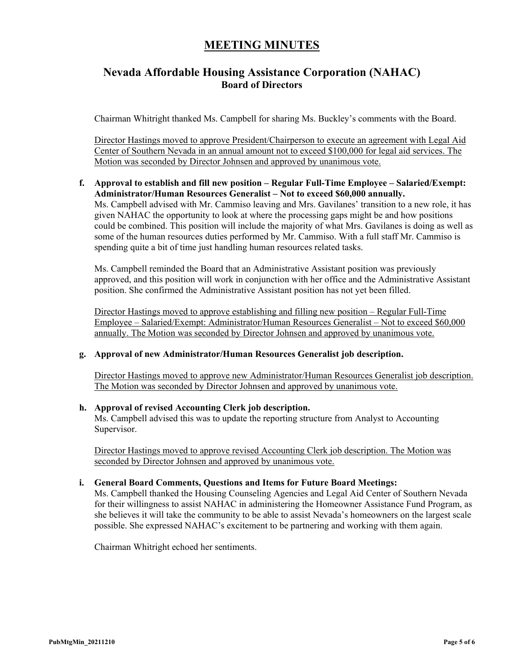## **Nevada Affordable Housing Assistance Corporation (NAHAC) Board of Directors**

Chairman Whitright thanked Ms. Campbell for sharing Ms. Buckley's comments with the Board.

Director Hastings moved to approve President/Chairperson to execute an agreement with Legal Aid Center of Southern Nevada in an annual amount not to exceed \$100,000 for legal aid services. The Motion was seconded by Director Johnsen and approved by unanimous vote.

**f. Approval to establish and fill new position – Regular Full-Time Employee – Salaried/Exempt: Administrator/Human Resources Generalist – Not to exceed \$60,000 annually.** Ms. Campbell advised with Mr. Cammiso leaving and Mrs. Gavilanes' transition to a new role, it has given NAHAC the opportunity to look at where the processing gaps might be and how positions could be combined. This position will include the majority of what Mrs. Gavilanes is doing as well as some of the human resources duties performed by Mr. Cammiso. With a full staff Mr. Cammiso is spending quite a bit of time just handling human resources related tasks.

Ms. Campbell reminded the Board that an Administrative Assistant position was previously approved, and this position will work in conjunction with her office and the Administrative Assistant position. She confirmed the Administrative Assistant position has not yet been filled.

Director Hastings moved to approve establishing and filling new position – Regular Full-Time Employee – Salaried/Exempt: Administrator/Human Resources Generalist – Not to exceed \$60,000 annually. The Motion was seconded by Director Johnsen and approved by unanimous vote.

#### **g. Approval of new Administrator/Human Resources Generalist job description.**

Director Hastings moved to approve new Administrator/Human Resources Generalist job description. The Motion was seconded by Director Johnsen and approved by unanimous vote.

#### **h. Approval of revised Accounting Clerk job description.**

Ms. Campbell advised this was to update the reporting structure from Analyst to Accounting Supervisor.

Director Hastings moved to approve revised Accounting Clerk job description. The Motion was seconded by Director Johnsen and approved by unanimous vote.

#### **i. General Board Comments, Questions and Items for Future Board Meetings:**

Ms. Campbell thanked the Housing Counseling Agencies and Legal Aid Center of Southern Nevada for their willingness to assist NAHAC in administering the Homeowner Assistance Fund Program, as she believes it will take the community to be able to assist Nevada's homeowners on the largest scale possible. She expressed NAHAC's excitement to be partnering and working with them again.

Chairman Whitright echoed her sentiments.